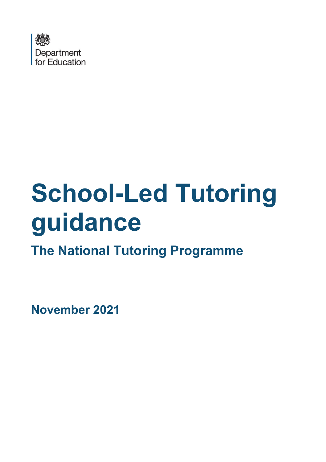

# **School-Led Tutoring guidance**

**The National Tutoring Programme**

**November 2021**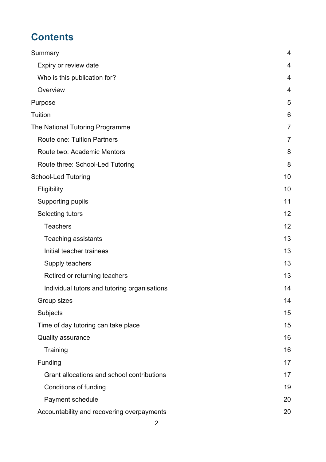# **Contents**

| Summary                                      | $\overline{4}$ |
|----------------------------------------------|----------------|
| Expiry or review date                        | $\overline{4}$ |
| Who is this publication for?                 | 4              |
| Overview                                     | 4              |
| Purpose                                      | 5              |
| <b>Tuition</b>                               | 6              |
| The National Tutoring Programme              | $\overline{7}$ |
| <b>Route one: Tuition Partners</b>           | $\overline{7}$ |
| Route two: Academic Mentors                  | 8              |
| Route three: School-Led Tutoring             | 8              |
| <b>School-Led Tutoring</b>                   | 10             |
| Eligibility                                  | 10             |
| <b>Supporting pupils</b>                     | 11             |
| Selecting tutors                             | 12             |
| <b>Teachers</b>                              | 12             |
| <b>Teaching assistants</b>                   | 13             |
| Initial teacher trainees                     | 13             |
| Supply teachers                              | 13             |
| Retired or returning teachers                | 13             |
| Individual tutors and tutoring organisations | 14             |
| Group sizes                                  | 14             |
| Subjects                                     | 15             |
| Time of day tutoring can take place          | 15             |
| <b>Quality assurance</b>                     | 16             |
| Training                                     | 16             |
| Funding                                      | 17             |
| Grant allocations and school contributions   | 17             |
| <b>Conditions of funding</b>                 | 19             |
| Payment schedule                             | 20             |
| Accountability and recovering overpayments   | 20             |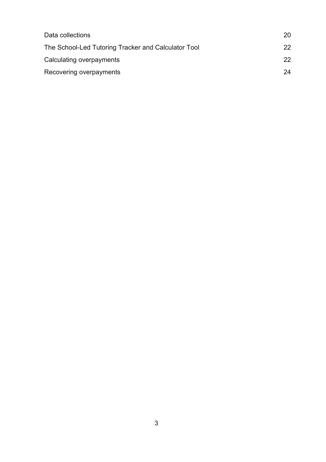| Data collections                                    | 20 |
|-----------------------------------------------------|----|
| The School-Led Tutoring Tracker and Calculator Tool | 22 |
| Calculating overpayments                            | 22 |
| Recovering overpayments                             | 24 |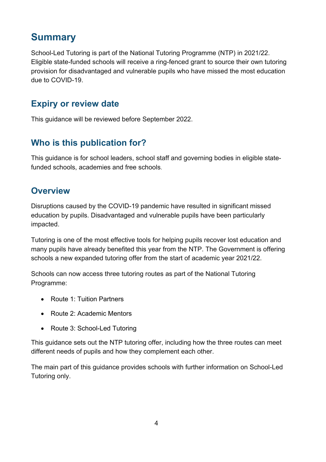# <span id="page-3-0"></span>**Summary**

School-Led Tutoring is part of the National Tutoring Programme (NTP) in 2021/22. Eligible state-funded schools will receive a ring-fenced grant to source their own tutoring provision for disadvantaged and vulnerable pupils who have missed the most education due to COVID-19.

## <span id="page-3-1"></span>**Expiry or review date**

This guidance will be reviewed before September 2022.

# <span id="page-3-2"></span>**Who is this publication for?**

This guidance is for school leaders, school staff and governing bodies in eligible statefunded schools, academies and free schools.

## <span id="page-3-3"></span>**Overview**

Disruptions caused by the COVID-19 pandemic have resulted in significant missed education by pupils. Disadvantaged and vulnerable pupils have been particularly impacted.

Tutoring is one of the most effective tools for helping pupils recover lost education and many pupils have already benefited this year from the NTP. The Government is offering schools a new expanded tutoring offer from the start of academic year 2021/22.

Schools can now access three tutoring routes as part of the National Tutoring Programme:

- Route 1: Tuition Partners
- Route 2: Academic Mentors
- Route 3: School-Led Tutoring

This guidance sets out the NTP tutoring offer, including how the three routes can meet different needs of pupils and how they complement each other.

The main part of this guidance provides schools with further information on School-Led Tutoring only.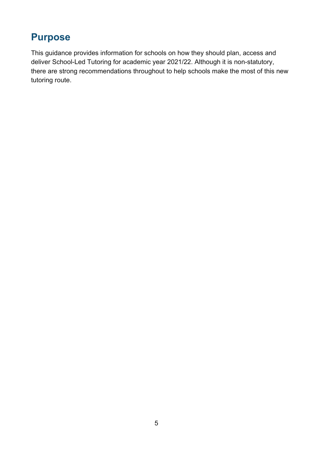# <span id="page-4-0"></span>**Purpose**

This guidance provides information for schools on how they should plan, access and deliver School-Led Tutoring for academic year 2021/22. Although it is non-statutory, there are strong recommendations throughout to help schools make the most of this new tutoring route.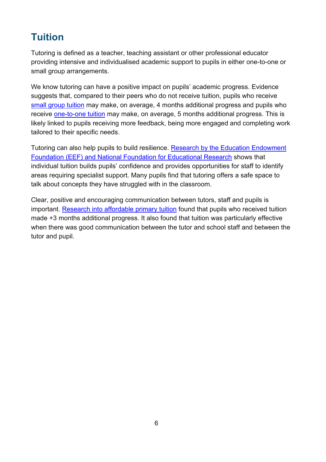# <span id="page-5-0"></span>**Tuition**

Tutoring is defined as a teacher, teaching assistant or other professional educator providing intensive and individualised academic support to pupils in either one-to-one or small group arrangements.

We know tutoring can have a positive impact on pupils' academic progress. Evidence suggests that, compared to their peers who do not receive tuition, pupils who receive small group tuition may make, on average, 4 months additional progress and pupils who receive one-to-one tuition may make, on average, 5 months additional progress. This is likely linked to pupils receiving more feedback, being more engaged and completing work tailored to their specific needs.

Tutoring can also help pupils to build resilience. Research by the Education Endowment Foundation (EEF) and National Foundation for Educational Research shows that individual tuition builds pupils' confidence and provides opportunities for staff to identify areas requiring specialist support. Many pupils find that tutoring offers a safe space to talk about concepts they have struggled with in the classroom.

Clear, positive and encouraging communication between tutors, staff and pupils is important. Research into affordable primary tuition found that pupils who received tuition made +3 months additional progress. It also found that tuition was particularly effective when there was good communication between the tutor and school staff and between the tutor and pupil.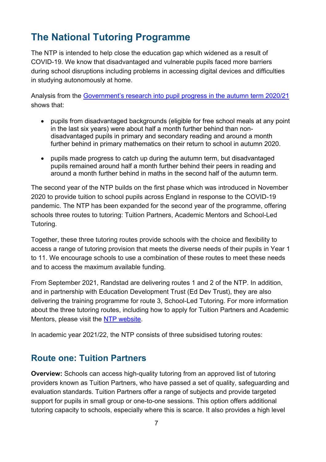# <span id="page-6-0"></span>**The National Tutoring Programme**

The NTP is intended to help close the education gap which widened as a result of COVID-19. We know that disadvantaged and vulnerable pupils faced more barriers during school disruptions including problems in accessing digital devices and difficulties in studying autonomously at home.

Analysis from the Government's research into pupil progress in the autumn term 2020/21 shows that:

- pupils from disadvantaged backgrounds (eligible for free school meals at any point in the last six years) were about half a month further behind than nondisadvantaged pupils in primary and secondary reading and around a month further behind in primary mathematics on their return to school in autumn 2020.
- pupils made progress to catch up during the autumn term, but disadvantaged pupils remained around half a month further behind their peers in reading and around a month further behind in maths in the second half of the autumn term.

The second year of the NTP builds on the first phase which was introduced in November 2020 to provide tuition to school pupils across England in response to the COVID-19 pandemic. The NTP has been expanded for the second year of the programme, offering schools three routes to tutoring: Tuition Partners, Academic Mentors and School-Led Tutoring.

Together, these three tutoring routes provide schools with the choice and flexibility to access a range of tutoring provision that meets the diverse needs of their pupils in Year 1 to 11. We encourage schools to use a combination of these routes to meet these needs and to access the maximum available funding.

From September 2021, Randstad are delivering routes 1 and 2 of the NTP. In addition, and in partnership with Education Development Trust (Ed Dev Trust), they are also delivering the training programme for route 3, School-Led Tutoring. For more information about the three tutoring routes, including how to apply for Tuition Partners and Academic Mentors, please visit the NTP website.

In academic year 2021/22, the NTP consists of three subsidised tutoring routes:

## <span id="page-6-1"></span>**Route one: Tuition Partners**

**Overview:** Schools can access high-quality tutoring from an approved list of tutoring providers known as Tuition Partners, who have passed a set of quality, safeguarding and evaluation standards. Tuition Partners offer a range of subjects and provide targeted support for pupils in small group or one-to-one sessions. This option offers additional tutoring capacity to schools, especially where this is scarce. It also provides a high level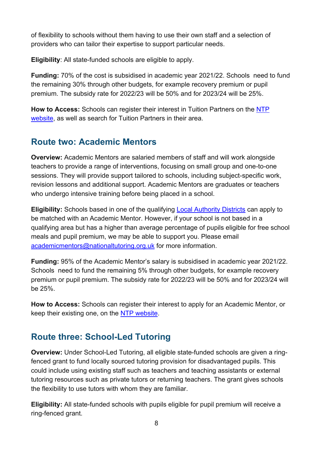of flexibility to schools without them having to use their own staff and a selection of providers who can tailor their expertise to support particular needs.

**Eligibility**: All state-funded schools are eligible to apply.

**Funding:** 70% of the cost is subsidised in academic year 2021/22. Schools need to fund the remaining 30% through other budgets, for example recovery premium or pupil premium. The subsidy rate for 2022/23 will be 50% and for 2023/24 will be 25%.

**How to Access:** Schools can register their interest in Tuition Partners on the NTP website, as well as search for Tuition Partners in their area.

# <span id="page-7-0"></span>**Route two: Academic Mentors**

**Overview:** Academic Mentors are salaried members of staff and will work alongside teachers to provide a range of interventions, focusing on small group and one-to-one sessions. They will provide support tailored to schools, including subject-specific work, revision lessons and additional support. Academic Mentors are graduates or teachers who undergo intensive training before being placed in a school.

**Eligibility:** Schools based in one of the qualifying Local Authority Districts can apply to be matched with an Academic Mentor. However, if your school is not based in a qualifying area but has a higher than average percentage of pupils eligible for free school meals and pupil premium, we may be able to support you. Please email academicmentors@nationaltutoring.org.uk for more information.

**Funding:** 95% of the Academic Mentor's salary is subsidised in academic year 2021/22. Schools need to fund the remaining 5% through other budgets, for example recovery premium or pupil premium. The subsidy rate for 2022/23 will be 50% and for 2023/24 will be 25%.

**How to Access:** Schools can register their interest to apply for an Academic Mentor, or keep their existing one, on the NTP website.

# <span id="page-7-1"></span>**Route three: School-Led Tutoring**

**Overview:** Under School-Led Tutoring, all eligible state-funded schools are given a ringfenced grant to fund locally sourced tutoring provision for disadvantaged pupils. This could include using existing staff such as teachers and teaching assistants or external tutoring resources such as private tutors or returning teachers. The grant gives schools the flexibility to use tutors with whom they are familiar.

**Eligibility:** All state-funded schools with pupils eligible for pupil premium will receive a ring-fenced grant.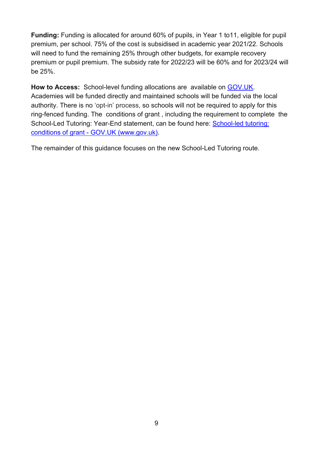**Funding:** Funding is allocated for around 60% of pupils, in Year 1 to11, eligible for pupil premium, per school. 75% of the cost is subsidised in academic year 2021/22. Schools will need to fund the remaining 25% through other budgets, for example recovery premium or pupil premium. The subsidy rate for 2022/23 will be 60% and for 2023/24 will be 25%.

**How to Access:** School-level funding allocations are available on GOV.UK. Academies will be funded directly and maintained schools will be funded via the local authority. There is no 'opt-in' process, so schools will not be required to apply for this ring-fenced funding. The conditions of grant , including the requirement to complete the School-Led Tutoring: Year-End statement, can be found here: School-led tutoring: conditions of grant - GOV.UK (www.gov.uk).

The remainder of this guidance focuses on the new School-Led Tutoring route.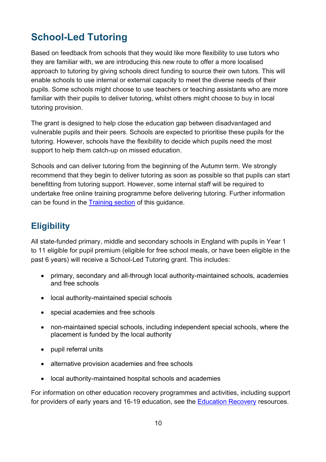# <span id="page-9-0"></span>**School-Led Tutoring**

Based on feedback from schools that they would like more flexibility to use tutors who they are familiar with, we are introducing this new route to offer a more localised approach to tutoring by giving schools direct funding to source their own tutors. This will enable schools to use internal or external capacity to meet the diverse needs of their pupils. Some schools might choose to use teachers or teaching assistants who are more familiar with their pupils to deliver tutoring, whilst others might choose to buy in local tutoring provision.

The grant is designed to help close the education gap between disadvantaged and vulnerable pupils and their peers. Schools are expected to prioritise these pupils for the tutoring. However, schools have the flexibility to decide which pupils need the most support to help them catch-up on missed education.

Schools and can deliver tutoring from the beginning of the Autumn term. We strongly recommend that they begin to deliver tutoring as soon as possible so that pupils can start benefitting from tutoring support. However, some internal staff will be required to undertake free online training programme before delivering tutoring. Further information can be found in the [Training section](#page-15-1) of this guidance.

# <span id="page-9-1"></span>**Eligibility**

All state-funded primary, middle and secondary schools in England with pupils in Year 1 to 11 eligible for pupil premium (eligible for free school meals, or have been eligible in the past 6 years) will receive a School-Led Tutoring grant. This includes:

- primary, secondary and all-through local authority-maintained schools, academies and free schools
- local authority-maintained special schools
- special academies and free schools
- non-maintained special schools, including independent special schools, where the placement is funded by the local authority
- pupil referral units
- alternative provision academies and free schools
- local authority-maintained hospital schools and academies

For information on other education recovery programmes and activities, including support for providers of early years and 16-19 education, see the Education Recovery resources.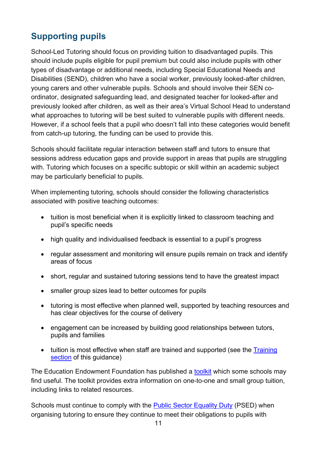# <span id="page-10-0"></span>**Supporting pupils**

School-Led Tutoring should focus on providing tuition to disadvantaged pupils. This should include pupils eligible for pupil premium but could also include pupils with other types of disadvantage or additional needs, including Special Educational Needs and Disabilities (SEND), children who have a social worker, previously looked-after children, young carers and other vulnerable pupils. Schools and should involve their SEN coordinator, designated safeguarding lead, and designated teacher for looked-after and previously looked after children, as well as their area's Virtual School Head to understand what approaches to tutoring will be best suited to vulnerable pupils with different needs. However, if a school feels that a pupil who doesn't fall into these categories would benefit from catch-up tutoring, the funding can be used to provide this.

Schools should facilitate regular interaction between staff and tutors to ensure that sessions address education gaps and provide support in areas that pupils are struggling with. Tutoring which focuses on a specific subtopic or skill within an academic subject may be particularly beneficial to pupils.

When implementing tutoring, schools should consider the following characteristics associated with positive teaching outcomes:

- tuition is most beneficial when it is explicitly linked to classroom teaching and pupil's specific needs
- high quality and individualised feedback is essential to a pupil's progress
- regular assessment and monitoring will ensure pupils remain on track and identify areas of focus
- short, regular and sustained tutoring sessions tend to have the greatest impact
- smaller group sizes lead to better outcomes for pupils
- tutoring is most effective when planned well, supported by teaching resources and has clear objectives for the course of delivery
- engagement can be increased by building good relationships between tutors, pupils and families
- tuition is most effective when staff are trained and supported (see the Training [section](#page-15-1) of this quidance)

The Education Endowment Foundation has published a toolkit which some schools may find useful. The toolkit provides extra information on one-to-one and small group tuition, including links to related resources.

Schools must continue to comply with the Public Sector Equality Duty (PSED) when organising tutoring to ensure they continue to meet their obligations to pupils with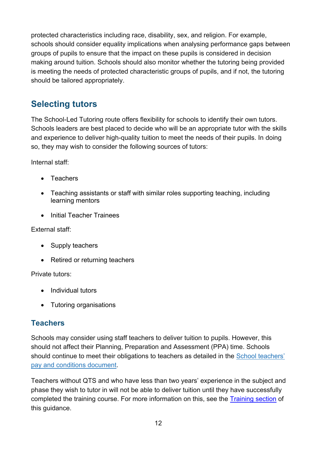protected characteristics including race, disability, sex, and religion. For example, schools should consider equality implications when analysing performance gaps between groups of pupils to ensure that the impact on these pupils is considered in decision making around tuition. Schools should also monitor whether the tutoring being provided is meeting the needs of protected characteristic groups of pupils, and if not, the tutoring should be tailored appropriately.

# <span id="page-11-0"></span>**Selecting tutors**

The School-Led Tutoring route offers flexibility for schools to identify their own tutors. Schools leaders are best placed to decide who will be an appropriate tutor with the skills and experience to deliver high-quality tuition to meet the needs of their pupils. In doing so, they may wish to consider the following sources of tutors:

Internal staff:

- Teachers
- Teaching assistants or staff with similar roles supporting teaching, including learning mentors
- Initial Teacher Trainees

#### External staff:

- Supply teachers
- Retired or returning teachers

Private tutors:

- Individual tutors
- Tutoring organisations

## <span id="page-11-1"></span>**Teachers**

Schools may consider using staff teachers to deliver tuition to pupils. However, this should not affect their Planning, Preparation and Assessment (PPA) time. Schools should continue to meet their obligations to teachers as detailed in the School teachers' pay and conditions document.

Teachers without QTS and who have less than two years' experience in the subject and phase they wish to tutor in will not be able to deliver tuition until they have successfully completed the training course. For more information on this, see the [Training section](#page-15-1) of this guidance.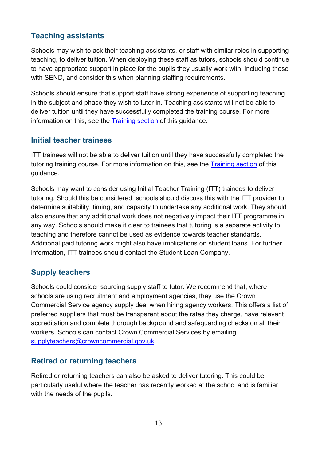## <span id="page-12-0"></span>**Teaching assistants**

Schools may wish to ask their teaching assistants, or staff with similar roles in supporting teaching, to deliver tuition. When deploying these staff as tutors, schools should continue to have appropriate support in place for the pupils they usually work with, including those with SEND, and consider this when planning staffing requirements.

Schools should ensure that support staff have strong experience of supporting teaching in the subject and phase they wish to tutor in. Teaching assistants will not be able to deliver tuition until they have successfully completed the training course. For more information on this, see the [Training section](#page-15-1) of this guidance.

#### <span id="page-12-1"></span>**Initial teacher trainees**

ITT trainees will not be able to deliver tuition until they have successfully completed the tutoring training course. For more information on this, see the [Training section](#page-15-1) of this guidance.

Schools may want to consider using Initial Teacher Training (ITT) trainees to deliver tutoring. Should this be considered, schools should discuss this with the ITT provider to determine suitability, timing, and capacity to undertake any additional work. They should also ensure that any additional work does not negatively impact their ITT programme in any way. Schools should make it clear to trainees that tutoring is a separate activity to teaching and therefore cannot be used as evidence towards teacher standards. Additional paid tutoring work might also have implications on student loans. For further information, ITT trainees should contact the Student Loan Company.

## <span id="page-12-2"></span>**Supply teachers**

Schools could consider sourcing supply staff to tutor. We recommend that, where schools are using recruitment and employment agencies, they use the Crown Commercial Service agency supply deal when hiring agency workers. This offers a list of preferred suppliers that must be transparent about the rates they charge, have relevant accreditation and complete thorough background and safeguarding checks on all their workers. Schools can contact Crown Commercial Services by emailing supplyteachers@crowncommercial.gov.uk.

#### <span id="page-12-3"></span>**Retired or returning teachers**

Retired or returning teachers can also be asked to deliver tutoring. This could be particularly useful where the teacher has recently worked at the school and is familiar with the needs of the pupils.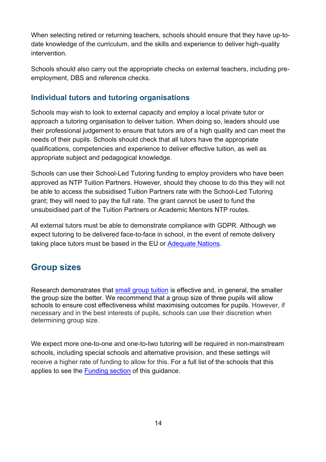When selecting retired or returning teachers, schools should ensure that they have up-todate knowledge of the curriculum, and the skills and experience to deliver high-quality intervention.

Schools should also carry out the appropriate checks on external teachers, including preemployment, DBS and reference checks.

#### <span id="page-13-0"></span>**Individual tutors and tutoring organisations**

Schools may wish to look to external capacity and employ a local private tutor or approach a tutoring organisation to deliver tuition. When doing so, leaders should use their professional judgement to ensure that tutors are of a high quality and can meet the needs of their pupils. Schools should check that all tutors have the appropriate qualifications, competencies and experience to deliver effective tuition, as well as appropriate subject and pedagogical knowledge.

Schools can use their School-Led Tutoring funding to employ providers who have been approved as NTP Tuition Partners. However, should they choose to do this they will not be able to access the subsidised Tuition Partners rate with the School-Led Tutoring grant; they will need to pay the full rate. The grant cannot be used to fund the unsubsidised part of the Tuition Partners or Academic Mentors NTP routes.

All external tutors must be able to demonstrate compliance with GDPR. Although we expect tutoring to be delivered face-to-face in school, in the event of remote delivery taking place tutors must be based in the EU or Adequate Nations.

# <span id="page-13-1"></span>**Group sizes**

Research demonstrates that small group tuition is effective and, in general, the smaller the group size the better. We recommend that a group size of three pupils will allow schools to ensure cost effectiveness whilst maximising outcomes for pupils. However, if necessary and in the best interests of pupils, schools can use their discretion when determining group size.

We expect more one-to-one and one-to-two tutoring will be required in non-mainstream schools, including special schools and alternative provision, and these settings will receive a higher rate of funding to allow for this. For a full list of the schools that this applies to see the [Funding section](#page-16-0) of this guidance.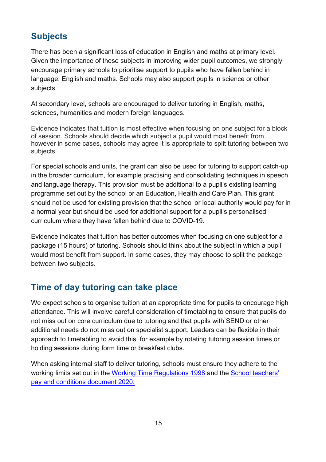# <span id="page-14-0"></span>**Subjects**

There has been a significant loss of education in English and maths at primary level. Given the importance of these subjects in improving wider pupil outcomes, we strongly encourage primary schools to prioritise support to pupils who have fallen behind in language, English and maths. Schools may also support pupils in science or other subjects.

At secondary level, schools are encouraged to deliver tutoring in English, maths, sciences, humanities and modern foreign languages.

Evidence indicates that tuition is most effective when focusing on one subject for a block of session. Schools should decide which subject a pupil would most benefit from, however in some cases, schools may agree it is appropriate to split tutoring between two subjects.

For special schools and units, the grant can also be used for tutoring to support catch-up in the broader curriculum, for example practising and consolidating techniques in speech and language therapy. This provision must be additional to a pupil's existing learning programme set out by the school or an Education, Health and Care Plan. This grant should not be used for existing provision that the school or local authority would pay for in a normal year but should be used for additional support for a pupil's personalised curriculum where they have fallen behind due to COVID-19.

Evidence indicates that tuition has better outcomes when focusing on one subject for a package (15 hours) of tutoring. Schools should think about the subject in which a pupil would most benefit from support. In some cases, they may choose to split the package between two subjects.

# <span id="page-14-1"></span>**Time of day tutoring can take place**

We expect schools to organise tuition at an appropriate time for pupils to encourage high attendance. This will involve careful consideration of timetabling to ensure that pupils do not miss out on core curriculum due to tutoring and that pupils with SEND or other additional needs do not miss out on specialist support. Leaders can be flexible in their approach to timetabling to avoid this, for example by rotating tutoring session times or holding sessions during form time or breakfast clubs.

When asking internal staff to deliver tutoring, schools must ensure they adhere to the working limits set out in the Working Time Regulations 1998 and the School teachers' pay and conditions document 2020.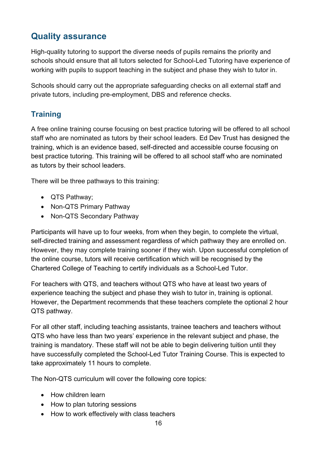# <span id="page-15-0"></span>**Quality assurance**

High-quality tutoring to support the diverse needs of pupils remains the priority and schools should ensure that all tutors selected for School-Led Tutoring have experience of working with pupils to support teaching in the subject and phase they wish to tutor in.

Schools should carry out the appropriate safeguarding checks on all external staff and private tutors, including pre-employment, DBS and reference checks.

## <span id="page-15-1"></span>**Training**

A free online training course focusing on best practice tutoring will be offered to all school staff who are nominated as tutors by their school leaders. Ed Dev Trust has designed the training, which is an evidence based, self-directed and accessible course focusing on best practice tutoring. This training will be offered to all school staff who are nominated as tutors by their school leaders.

There will be three pathways to this training:

- QTS Pathway;
- Non-QTS Primary Pathway
- Non-QTS Secondary Pathway

Participants will have up to four weeks, from when they begin, to complete the virtual, self-directed training and assessment regardless of which pathway they are enrolled on. However, they may complete training sooner if they wish. Upon successful completion of the online course, tutors will receive certification which will be recognised by the Chartered College of Teaching to certify individuals as a School-Led Tutor.

For teachers with QTS, and teachers without QTS who have at least two years of experience teaching the subject and phase they wish to tutor in, training is optional. However, the Department recommends that these teachers complete the optional 2 hour QTS pathway.

For all other staff, including teaching assistants, trainee teachers and teachers without QTS who have less than two years' experience in the relevant subject and phase, the training is mandatory. These staff will not be able to begin delivering tuition until they have successfully completed the School-Led Tutor Training Course. This is expected to take approximately 11 hours to complete.

The Non-QTS curriculum will cover the following core topics:

- How children learn
- How to plan tutoring sessions
- How to work effectively with class teachers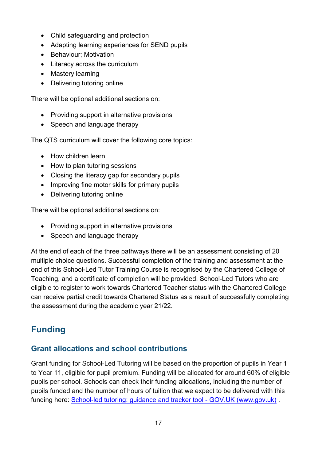- Child safeguarding and protection
- Adapting learning experiences for SEND pupils
- Behaviour; Motivation
- Literacy across the curriculum
- Mastery learning
- Delivering tutoring online

There will be optional additional sections on:

- Providing support in alternative provisions
- Speech and language therapy

The QTS curriculum will cover the following core topics:

- How children learn
- How to plan tutoring sessions
- Closing the literacy gap for secondary pupils
- Improving fine motor skills for primary pupils
- Delivering tutoring online

There will be optional additional sections on:

- Providing support in alternative provisions
- Speech and language therapy

At the end of each of the three pathways there will be an assessment consisting of 20 multiple choice questions. Successful completion of the training and assessment at the end of this School-Led Tutor Training Course is recognised by the Chartered College of Teaching, and a certificate of completion will be provided. School-Led Tutors who are eligible to register to work towards Chartered Teacher status with the Chartered College can receive partial credit towards Chartered Status as a result of successfully completing the assessment during the academic year 21/22.

# <span id="page-16-0"></span>**Funding**

## <span id="page-16-1"></span>**Grant allocations and school contributions**

Grant funding for School-Led Tutoring will be based on the proportion of pupils in Year 1 to Year 11, eligible for pupil premium. Funding will be allocated for around 60% of eligible pupils per school. Schools can check their funding allocations, including the number of pupils funded and the number of hours of tuition that we expect to be delivered with this funding here: School-led tutoring: guidance and tracker tool - GOV.UK (www.gov.uk) .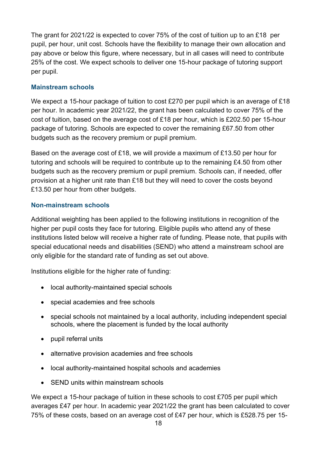The grant for 2021/22 is expected to cover 75% of the cost of tuition up to an £18 per pupil, per hour, unit cost. Schools have the flexibility to manage their own allocation and pay above or below this figure, where necessary, but in all cases will need to contribute 25% of the cost. We expect schools to deliver one 15-hour package of tutoring support per pupil.

#### **Mainstream schools**

We expect a 15-hour package of tuition to cost £270 per pupil which is an average of £18 per hour. In academic year 2021/22, the grant has been calculated to cover 75% of the cost of tuition, based on the average cost of £18 per hour, which is £202.50 per 15-hour package of tutoring. Schools are expected to cover the remaining £67.50 from other budgets such as the recovery premium or pupil premium.

Based on the average cost of £18, we will provide a maximum of £13.50 per hour for tutoring and schools will be required to contribute up to the remaining £4.50 from other budgets such as the recovery premium or pupil premium. Schools can, if needed, offer provision at a higher unit rate than £18 but they will need to cover the costs beyond £13.50 per hour from other budgets.

#### **Non-mainstream schools**

Additional weighting has been applied to the following institutions in recognition of the higher per pupil costs they face for tutoring. Eligible pupils who attend any of these institutions listed below will receive a higher rate of funding. Please note, that pupils with special educational needs and disabilities (SEND) who attend a mainstream school are only eligible for the standard rate of funding as set out above.

Institutions eligible for the higher rate of funding:

- local authority-maintained special schools
- special academies and free schools
- special schools not maintained by a local authority, including independent special schools, where the placement is funded by the local authority
- pupil referral units
- alternative provision academies and free schools
- local authority-maintained hospital schools and academies
- SEND units within mainstream schools

We expect a 15-hour package of tuition in these schools to cost £705 per pupil which averages £47 per hour. In academic year 2021/22 the grant has been calculated to cover 75% of these costs, based on an average cost of £47 per hour, which is £528.75 per 15-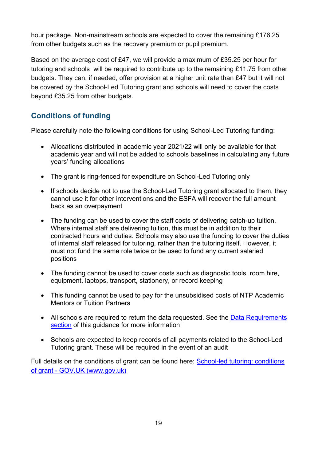hour package. Non-mainstream schools are expected to cover the remaining £176.25 from other budgets such as the recovery premium or pupil premium.

Based on the average cost of £47, we will provide a maximum of £35.25 per hour for tutoring and schools will be required to contribute up to the remaining £11.75 from other budgets. They can, if needed, offer provision at a higher unit rate than £47 but it will not be covered by the School-Led Tutoring grant and schools will need to cover the costs beyond £35.25 from other budgets.

## <span id="page-18-0"></span>**Conditions of funding**

Please carefully note the following conditions for using School-Led Tutoring funding:

- Allocations distributed in academic year 2021/22 will only be available for that academic year and will not be added to schools baselines in calculating any future years' funding allocations
- The grant is ring-fenced for expenditure on School-Led Tutoring only
- If schools decide not to use the School-Led Tutoring grant allocated to them, they cannot use it for other interventions and the ESFA will recover the full amount back as an overpayment
- The funding can be used to cover the staff costs of delivering catch-up tuition. Where internal staff are delivering tuition, this must be in addition to their contracted hours and duties. Schools may also use the funding to cover the duties of internal staff released for tutoring, rather than the tutoring itself. However, it must not fund the same role twice or be used to fund any current salaried positions
- The funding cannot be used to cover costs such as diagnostic tools, room hire, equipment, laptops, transport, stationery, or record keeping
- This funding cannot be used to pay for the unsubsidised costs of NTP Academic Mentors or Tuition Partners
- All schools are required to return the data requested. See the Data Requirements [section](#page-19-2) of this guidance for more information
- Schools are expected to keep records of all payments related to the School-Led Tutoring grant. These will be required in the event of an audit

Full details on the conditions of grant can be found here: School-led tutoring: conditions of grant - GOV.UK (www.gov.uk)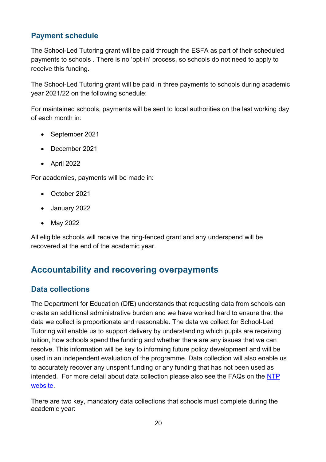## <span id="page-19-0"></span>**Payment schedule**

The School-Led Tutoring grant will be paid through the ESFA as part of their scheduled payments to schools . There is no 'opt-in' process, so schools do not need to apply to receive this funding.

The School-Led Tutoring grant will be paid in three payments to schools during academic year 2021/22 on the following schedule:

For maintained schools, payments will be sent to local authorities on the last working day of each month in:

- September 2021
- December 2021
- April 2022

For academies, payments will be made in:

- October 2021
- January 2022
- May 2022

All eligible schools will receive the ring-fenced grant and any underspend will be recovered at the end of the academic year.

# <span id="page-19-1"></span>**Accountability and recovering overpayments**

#### <span id="page-19-2"></span>**Data collections**

The Department for Education (DfE) understands that requesting data from schools can create an additional administrative burden and we have worked hard to ensure that the data we collect is proportionate and reasonable. The data we collect for School-Led Tutoring will enable us to support delivery by understanding which pupils are receiving tuition, how schools spend the funding and whether there are any issues that we can resolve. This information will be key to informing future policy development and will be used in an independent evaluation of the programme. Data collection will also enable us to accurately recover any unspent funding or any funding that has not been used as intended. For more detail about data collection please also see the FAQs on the NTP website.

There are two key, mandatory data collections that schools must complete during the academic year: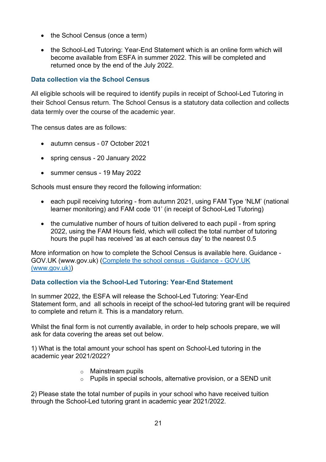- the School Census (once a term)
- the School-Led Tutoring: Year-End Statement which is an online form which will become available from ESFA in summer 2022. This will be completed and returned once by the end of the July 2022.

#### **Data collection via the School Census**

All eligible schools will be required to identify pupils in receipt of School-Led Tutoring in their School Census return. The School Census is a statutory data collection and collects data termly over the course of the academic year.

The census dates are as follows:

- autumn census 07 October 2021
- spring census 20 January 2022
- summer census 19 May 2022

Schools must ensure they record the following information:

- each pupil receiving tutoring from autumn 2021, using FAM Type 'NLM' (national learner monitoring) and FAM code '01' (in receipt of School-Led Tutoring)
- the cumulative number of hours of tuition delivered to each pupil from spring 2022, using the FAM Hours field, which will collect the total number of tutoring hours the pupil has received 'as at each census day' to the nearest 0.5

More information on how to complete the School Census is available here. Guidance - GOV.UK (www.gov.uk) (Complete the school census - Guidance - GOV.UK (www.gov.uk))

#### **Data collection via the School-Led Tutoring: Year-End Statement**

In summer 2022, the ESFA will release the School-Led Tutoring: Year-End Statement form, and all schools in receipt of the school-led tutoring grant will be required to complete and return it. This is a mandatory return.

Whilst the final form is not currently available, in order to help schools prepare, we will ask for data covering the areas set out below.

1) What is the total amount your school has spent on School-Led tutoring in the academic year 2021/2022?

- o Mainstream pupils
- o Pupils in special schools, alternative provision, or a SEND unit

2) Please state the total number of pupils in your school who have received tuition through the School-Led tutoring grant in academic year 2021/2022.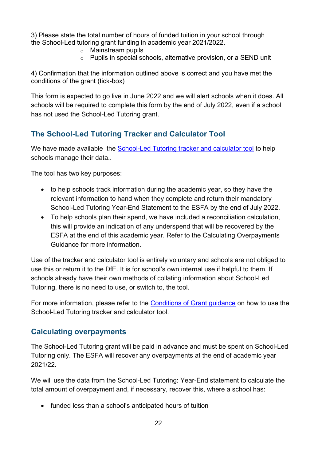3) Please state the total number of hours of funded tuition in your school through the School-Led tutoring grant funding in academic year 2021/2022.

- o Mainstream pupils
- o Pupils in special schools, alternative provision, or a SEND unit

4) Confirmation that the information outlined above is correct and you have met the conditions of the grant (tick-box)

This form is expected to go live in June 2022 and we will alert schools when it does. All schools will be required to complete this form by the end of July 2022, even if a school has not used the School-Led Tutoring grant.

## <span id="page-21-0"></span>**The School-Led Tutoring Tracker and Calculator Tool**

We have made available the School-Led Tutoring tracker and calculator tool to help schools manage their data..

The tool has two key purposes:

- to help schools track information during the academic year, so they have the relevant information to hand when they complete and return their mandatory School-Led Tutoring Year-End Statement to the ESFA by the end of July 2022.
- To help schools plan their spend, we have included a reconciliation calculation, this will provide an indication of any underspend that will be recovered by the ESFA at the end of this academic year. Refer to the Calculating Overpayments Guidance for more information.

Use of the tracker and calculator tool is entirely voluntary and schools are not obliged to use this or return it to the DfE. It is for school's own internal use if helpful to them. If schools already have their own methods of collating information about School-Led Tutoring, there is no need to use, or switch to, the tool.

For more information, please refer to the Conditions of Grant guidance on how to use the School-Led Tutoring tracker and calculator tool.

#### <span id="page-21-1"></span>**Calculating overpayments**

The School-Led Tutoring grant will be paid in advance and must be spent on School-Led Tutoring only. The ESFA will recover any overpayments at the end of academic year 2021/22.

We will use the data from the School-Led Tutoring: Year-End statement to calculate the total amount of overpayment and, if necessary, recover this, where a school has:

• funded less than a school's anticipated hours of tuition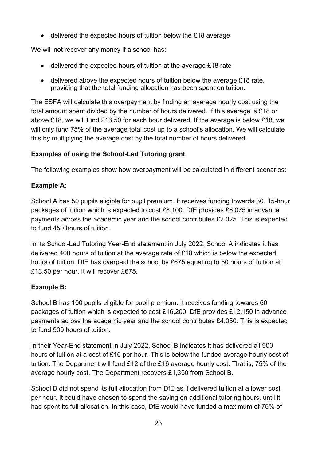• delivered the expected hours of tuition below the £18 average

We will not recover any money if a school has:

- delivered the expected hours of tuition at the average £18 rate
- delivered above the expected hours of tuition below the average £18 rate, providing that the total funding allocation has been spent on tuition.

The ESFA will calculate this overpayment by finding an average hourly cost using the total amount spent divided by the number of hours delivered. If this average is £18 or above £18, we will fund £13.50 for each hour delivered. If the average is below £18, we will only fund 75% of the average total cost up to a school's allocation. We will calculate this by multiplying the average cost by the total number of hours delivered.

#### **Examples of using the School-Led Tutoring grant**

The following examples show how overpayment will be calculated in different scenarios:

#### **Example A:**

School A has 50 pupils eligible for pupil premium. It receives funding towards 30, 15-hour packages of tuition which is expected to cost £8,100. DfE provides £6,075 in advance payments across the academic year and the school contributes £2,025. This is expected to fund 450 hours of tuition.

In its School-Led Tutoring Year-End statement in July 2022, School A indicates it has delivered 400 hours of tuition at the average rate of £18 which is below the expected hours of tuition. DfE has overpaid the school by £675 equating to 50 hours of tuition at £13.50 per hour. It will recover £675.

#### **Example B:**

School B has 100 pupils eligible for pupil premium. It receives funding towards 60 packages of tuition which is expected to cost £16,200. DfE provides £12,150 in advance payments across the academic year and the school contributes £4,050. This is expected to fund 900 hours of tuition.

In their Year-End statement in July 2022, School B indicates it has delivered all 900 hours of tuition at a cost of £16 per hour. This is below the funded average hourly cost of tuition. The Department will fund £12 of the £16 average hourly cost. That is, 75% of the average hourly cost. The Department recovers £1,350 from School B.

School B did not spend its full allocation from DfE as it delivered tuition at a lower cost per hour. It could have chosen to spend the saving on additional tutoring hours, until it had spent its full allocation. In this case, DfE would have funded a maximum of 75% of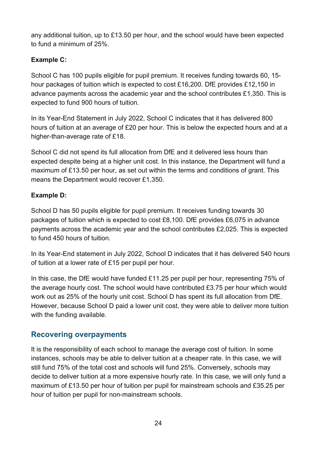any additional tuition, up to £13.50 per hour, and the school would have been expected to fund a minimum of 25%.

#### **Example C:**

School C has 100 pupils eligible for pupil premium. It receives funding towards 60, 15 hour packages of tuition which is expected to cost £16,200. DfE provides £12,150 in advance payments across the academic year and the school contributes £1,350. This is expected to fund 900 hours of tuition.

In its Year-End Statement in July 2022, School C indicates that it has delivered 800 hours of tuition at an average of £20 per hour. This is below the expected hours and at a higher-than-average rate of £18.

School C did not spend its full allocation from DfE and it delivered less hours than expected despite being at a higher unit cost. In this instance, the Department will fund a maximum of £13.50 per hour, as set out within the terms and conditions of grant. This means the Department would recover £1,350.

#### **Example D:**

School D has 50 pupils eligible for pupil premium. It receives funding towards 30 packages of tuition which is expected to cost £8,100. DfE provides £6,075 in advance payments across the academic year and the school contributes £2,025. This is expected to fund 450 hours of tuition.

In its Year-End statement in July 2022, School D indicates that it has delivered 540 hours of tuition at a lower rate of £15 per pupil per hour.

In this case, the DfE would have funded £11.25 per pupil per hour, representing 75% of the average hourly cost. The school would have contributed £3.75 per hour which would work out as 25% of the hourly unit cost. School D has spent its full allocation from DfE. However, because School D paid a lower unit cost, they were able to deliver more tuition with the funding available.

## <span id="page-23-0"></span>**Recovering overpayments**

It is the responsibility of each school to manage the average cost of tuition. In some instances, schools may be able to deliver tuition at a cheaper rate. In this case, we will still fund 75% of the total cost and schools will fund 25%. Conversely, schools may decide to deliver tuition at a more expensive hourly rate. In this case, we will only fund a maximum of £13.50 per hour of tuition per pupil for mainstream schools and £35.25 per hour of tuition per pupil for non-mainstream schools.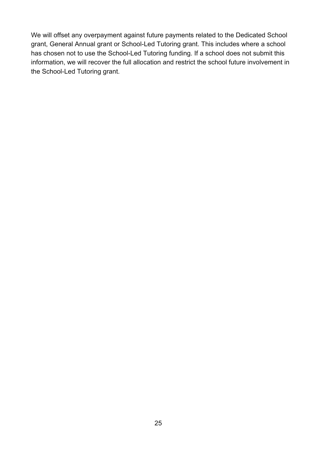We will offset any overpayment against future payments related to the Dedicated School grant, General Annual grant or School-Led Tutoring grant. This includes where a school has chosen not to use the School-Led Tutoring funding. If a school does not submit this information, we will recover the full allocation and restrict the school future involvement in the School-Led Tutoring grant.